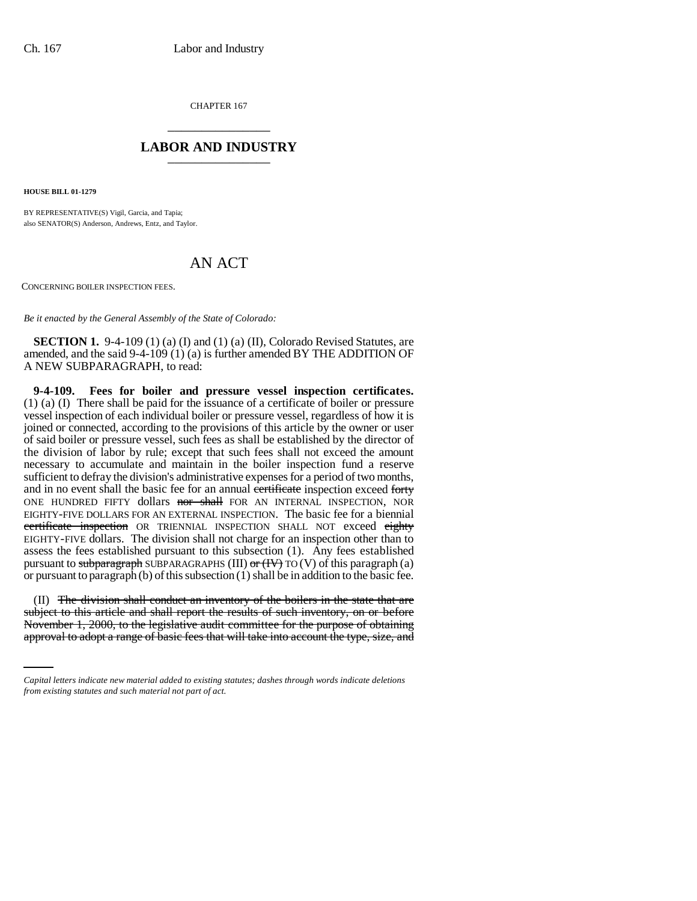CHAPTER 167 \_\_\_\_\_\_\_\_\_\_\_\_\_\_\_

## **LABOR AND INDUSTRY** \_\_\_\_\_\_\_\_\_\_\_\_\_\_\_

**HOUSE BILL 01-1279**

BY REPRESENTATIVE(S) Vigil, Garcia, and Tapia; also SENATOR(S) Anderson, Andrews, Entz, and Taylor.

## AN ACT

CONCERNING BOILER INSPECTION FEES.

*Be it enacted by the General Assembly of the State of Colorado:*

**SECTION 1.** 9-4-109 (1) (a) (I) and (1) (a) (II), Colorado Revised Statutes, are amended, and the said 9-4-109 (1) (a) is further amended BY THE ADDITION OF A NEW SUBPARAGRAPH, to read:

**9-4-109. Fees for boiler and pressure vessel inspection certificates.** (1) (a) (I) There shall be paid for the issuance of a certificate of boiler or pressure vessel inspection of each individual boiler or pressure vessel, regardless of how it is joined or connected, according to the provisions of this article by the owner or user of said boiler or pressure vessel, such fees as shall be established by the director of the division of labor by rule; except that such fees shall not exceed the amount necessary to accumulate and maintain in the boiler inspection fund a reserve sufficient to defray the division's administrative expenses for a period of two months, and in no event shall the basic fee for an annual certificate inspection exceed forty ONE HUNDRED FIFTY dollars nor shall FOR AN INTERNAL INSPECTION, NOR EIGHTY-FIVE DOLLARS FOR AN EXTERNAL INSPECTION. The basic fee for a biennial certificate inspection OR TRIENNIAL INSPECTION SHALL NOT exceed eighty EIGHTY-FIVE dollars. The division shall not charge for an inspection other than to assess the fees established pursuant to this subsection (1). Any fees established pursuant to subparagraph SUBPARAGRAPHS (III) or  $(H\rightarrow)$  TO (V) of this paragraph (a) or pursuant to paragraph (b) of this subsection (1) shall be in addition to the basic fee.

subject to this article and shall report the results of such inventory, on or before (II) The division shall conduct an inventory of the boilers in the state that are November 1, 2000, to the legislative audit committee for the purpose of obtaining approval to adopt a range of basic fees that will take into account the type, size, and

*Capital letters indicate new material added to existing statutes; dashes through words indicate deletions from existing statutes and such material not part of act.*